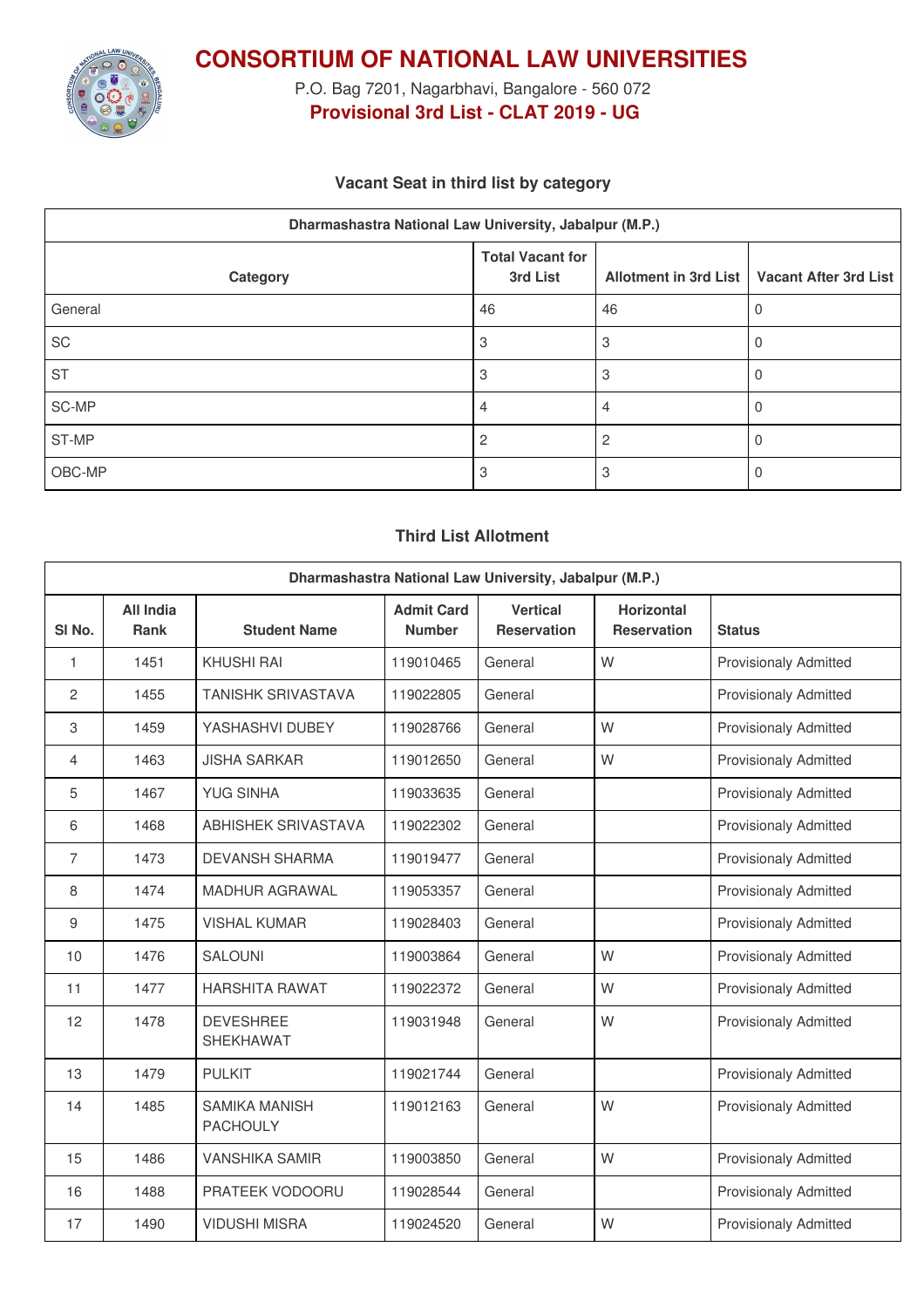

**CONSORTIUM OF NATIONAL LAW UNIVERSITIES**

P.O. Bag 7201, Nagarbhavi, Bangalore - 560 072 **Provisional 3rd List - CLAT 2019 - UG**

# **Vacant Seat in third list by category**

| Dharmashastra National Law University, Jabalpur (M.P.) |                                     |    |                                               |  |  |  |
|--------------------------------------------------------|-------------------------------------|----|-----------------------------------------------|--|--|--|
| Category                                               | <b>Total Vacant for</b><br>3rd List |    | Allotment in 3rd List   Vacant After 3rd List |  |  |  |
| General                                                | 46                                  | 46 |                                               |  |  |  |
| SC                                                     | 3                                   |    |                                               |  |  |  |
| <b>ST</b>                                              | 3                                   | З  |                                               |  |  |  |
| SC-MP                                                  |                                     |    |                                               |  |  |  |
| ST-MP                                                  | 2                                   |    |                                               |  |  |  |
| OBC-MP                                                 | 3                                   |    |                                               |  |  |  |

## **Third List Allotment**

| Dharmashastra National Law University, Jabalpur (M.P.) |                                 |                                         |                                    |                                       |                                         |                              |
|--------------------------------------------------------|---------------------------------|-----------------------------------------|------------------------------------|---------------------------------------|-----------------------------------------|------------------------------|
| SI <sub>No.</sub>                                      | <b>All India</b><br><b>Rank</b> | <b>Student Name</b>                     | <b>Admit Card</b><br><b>Number</b> | <b>Vertical</b><br><b>Reservation</b> | <b>Horizontal</b><br><b>Reservation</b> | <b>Status</b>                |
| $\mathbf{1}$                                           | 1451                            | <b>KHUSHI RAI</b>                       | 119010465                          | General                               | W                                       | <b>Provisionaly Admitted</b> |
| 2                                                      | 1455                            | <b>TANISHK SRIVASTAVA</b>               | 119022805                          | General                               |                                         | <b>Provisionaly Admitted</b> |
| 3                                                      | 1459                            | YASHASHVI DUBEY                         | 119028766                          | General                               | W                                       | <b>Provisionaly Admitted</b> |
| 4                                                      | 1463                            | <b>JISHA SARKAR</b>                     | 119012650                          | General                               | W                                       | <b>Provisionaly Admitted</b> |
| 5                                                      | 1467                            | <b>YUG SINHA</b>                        | 119033635                          | General                               |                                         | <b>Provisionaly Admitted</b> |
| 6                                                      | 1468                            | <b>ABHISHEK SRIVASTAVA</b>              | 119022302                          | General                               |                                         | <b>Provisionaly Admitted</b> |
| $\overline{7}$                                         | 1473                            | <b>DEVANSH SHARMA</b>                   | 119019477                          | General                               |                                         | <b>Provisionaly Admitted</b> |
| 8                                                      | 1474                            | <b>MADHUR AGRAWAL</b>                   | 119053357                          | General                               |                                         | <b>Provisionaly Admitted</b> |
| 9                                                      | 1475                            | <b>VISHAL KUMAR</b>                     | 119028403                          | General                               |                                         | <b>Provisionaly Admitted</b> |
| 10                                                     | 1476                            | <b>SALOUNI</b>                          | 119003864                          | General                               | W                                       | <b>Provisionaly Admitted</b> |
| 11                                                     | 1477                            | <b>HARSHITA RAWAT</b>                   | 119022372                          | General                               | W                                       | <b>Provisionaly Admitted</b> |
| 12                                                     | 1478                            | <b>DEVESHREE</b><br><b>SHEKHAWAT</b>    | 119031948                          | General                               | W                                       | <b>Provisionaly Admitted</b> |
| 13                                                     | 1479                            | <b>PULKIT</b>                           | 119021744                          | General                               |                                         | <b>Provisionaly Admitted</b> |
| 14                                                     | 1485                            | <b>SAMIKA MANISH</b><br><b>PACHOULY</b> | 119012163                          | General                               | W                                       | <b>Provisionaly Admitted</b> |
| 15                                                     | 1486                            | <b>VANSHIKA SAMIR</b>                   | 119003850                          | General                               | W                                       | <b>Provisionaly Admitted</b> |
| 16                                                     | 1488                            | PRATEEK VODOORU                         | 119028544                          | General                               |                                         | <b>Provisionaly Admitted</b> |
| 17                                                     | 1490                            | <b>VIDUSHI MISRA</b>                    | 119024520                          | General                               | W                                       | <b>Provisionaly Admitted</b> |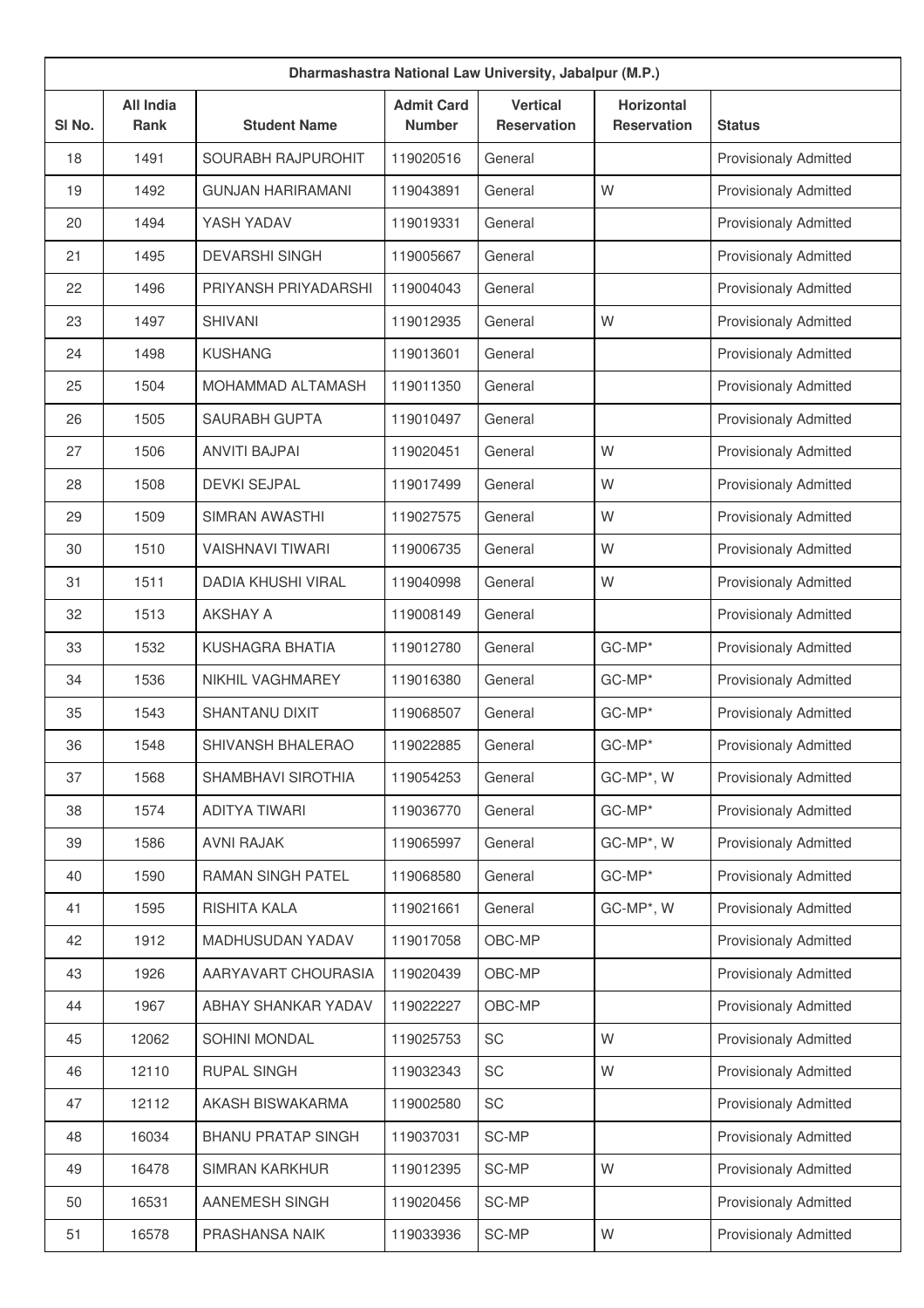| Dharmashastra National Law University, Jabalpur (M.P.) |                          |                           |                                    |                                       |                                         |                              |
|--------------------------------------------------------|--------------------------|---------------------------|------------------------------------|---------------------------------------|-----------------------------------------|------------------------------|
| SI No.                                                 | <b>All India</b><br>Rank | <b>Student Name</b>       | <b>Admit Card</b><br><b>Number</b> | <b>Vertical</b><br><b>Reservation</b> | <b>Horizontal</b><br><b>Reservation</b> | <b>Status</b>                |
| 18                                                     | 1491                     | SOURABH RAJPUROHIT        | 119020516                          | General                               |                                         | <b>Provisionaly Admitted</b> |
| 19                                                     | 1492                     | <b>GUNJAN HARIRAMANI</b>  | 119043891                          | General                               | W                                       | <b>Provisionaly Admitted</b> |
| 20                                                     | 1494                     | YASH YADAV                | 119019331                          | General                               |                                         | <b>Provisionaly Admitted</b> |
| 21                                                     | 1495                     | <b>DEVARSHI SINGH</b>     | 119005667                          | General                               |                                         | <b>Provisionaly Admitted</b> |
| 22                                                     | 1496                     | PRIYANSH PRIYADARSHI      | 119004043                          | General                               |                                         | <b>Provisionaly Admitted</b> |
| 23                                                     | 1497                     | <b>SHIVANI</b>            | 119012935                          | General                               | W                                       | <b>Provisionaly Admitted</b> |
| 24                                                     | 1498                     | <b>KUSHANG</b>            | 119013601                          | General                               |                                         | <b>Provisionaly Admitted</b> |
| 25                                                     | 1504                     | MOHAMMAD ALTAMASH         | 119011350                          | General                               |                                         | <b>Provisionaly Admitted</b> |
| 26                                                     | 1505                     | <b>SAURABH GUPTA</b>      | 119010497                          | General                               |                                         | <b>Provisionaly Admitted</b> |
| 27                                                     | 1506                     | <b>ANVITI BAJPAI</b>      | 119020451                          | General                               | W                                       | <b>Provisionaly Admitted</b> |
| 28                                                     | 1508                     | <b>DEVKI SEJPAL</b>       | 119017499                          | General                               | W                                       | <b>Provisionaly Admitted</b> |
| 29                                                     | 1509                     | SIMRAN AWASTHI            | 119027575                          | General                               | W                                       | <b>Provisionaly Admitted</b> |
| 30                                                     | 1510                     | <b>VAISHNAVI TIWARI</b>   | 119006735                          | General                               | W                                       | <b>Provisionaly Admitted</b> |
| 31                                                     | 1511                     | <b>DADIA KHUSHI VIRAL</b> | 119040998                          | General                               | W                                       | <b>Provisionaly Admitted</b> |
| 32                                                     | 1513                     | <b>AKSHAY A</b>           | 119008149                          | General                               |                                         | <b>Provisionaly Admitted</b> |
| 33                                                     | 1532                     | KUSHAGRA BHATIA           | 119012780                          | General                               | GC-MP*                                  | <b>Provisionaly Admitted</b> |
| 34                                                     | 1536                     | NIKHIL VAGHMAREY          | 119016380                          | General                               | GC-MP*                                  | <b>Provisionaly Admitted</b> |
| 35                                                     | 1543                     | <b>SHANTANU DIXIT</b>     | 119068507                          | General                               | GC-MP*                                  | <b>Provisionaly Admitted</b> |
| 36                                                     | 1548                     | <b>SHIVANSH BHALERAO</b>  | 119022885                          | General                               | GC-MP*                                  | <b>Provisionaly Admitted</b> |
| 37                                                     | 1568                     | SHAMBHAVI SIROTHIA        | 119054253                          | General                               | GC-MP*, W                               | <b>Provisionaly Admitted</b> |
| 38                                                     | 1574                     | <b>ADITYA TIWARI</b>      | 119036770                          | General                               | GC-MP*                                  | <b>Provisionaly Admitted</b> |
| 39                                                     | 1586                     | <b>AVNI RAJAK</b>         | 119065997                          | General                               | GC-MP*, W                               | <b>Provisionaly Admitted</b> |
| 40                                                     | 1590                     | RAMAN SINGH PATEL         | 119068580                          | General                               | GC-MP*                                  | Provisionaly Admitted        |
| 41                                                     | 1595                     | RISHITA KALA              | 119021661                          | General                               | GC-MP*, W                               | <b>Provisionaly Admitted</b> |
| 42                                                     | 1912                     | MADHUSUDAN YADAV          | 119017058                          | OBC-MP                                |                                         | Provisionaly Admitted        |
| 43                                                     | 1926                     | AARYAVART CHOURASIA       | 119020439                          | OBC-MP                                |                                         | <b>Provisionaly Admitted</b> |
| 44                                                     | 1967                     | ABHAY SHANKAR YADAV       | 119022227                          | OBC-MP                                |                                         | <b>Provisionaly Admitted</b> |
| 45                                                     | 12062                    | SOHINI MONDAL             | 119025753                          | SC                                    | W                                       | <b>Provisionaly Admitted</b> |
| 46                                                     | 12110                    | <b>RUPAL SINGH</b>        | 119032343                          | SC                                    | W                                       | <b>Provisionaly Admitted</b> |
| 47                                                     | 12112                    | AKASH BISWAKARMA          | 119002580                          | SC                                    |                                         | <b>Provisionaly Admitted</b> |
| 48                                                     | 16034                    | <b>BHANU PRATAP SINGH</b> | 119037031                          | SC-MP                                 |                                         | <b>Provisionaly Admitted</b> |
| 49                                                     | 16478                    | <b>SIMRAN KARKHUR</b>     | 119012395                          | SC-MP                                 | W                                       | <b>Provisionaly Admitted</b> |
| 50                                                     | 16531                    | AANEMESH SINGH            | 119020456                          | SC-MP                                 |                                         | <b>Provisionaly Admitted</b> |
| 51                                                     | 16578                    | PRASHANSA NAIK            | 119033936                          | SC-MP                                 | W                                       | Provisionaly Admitted        |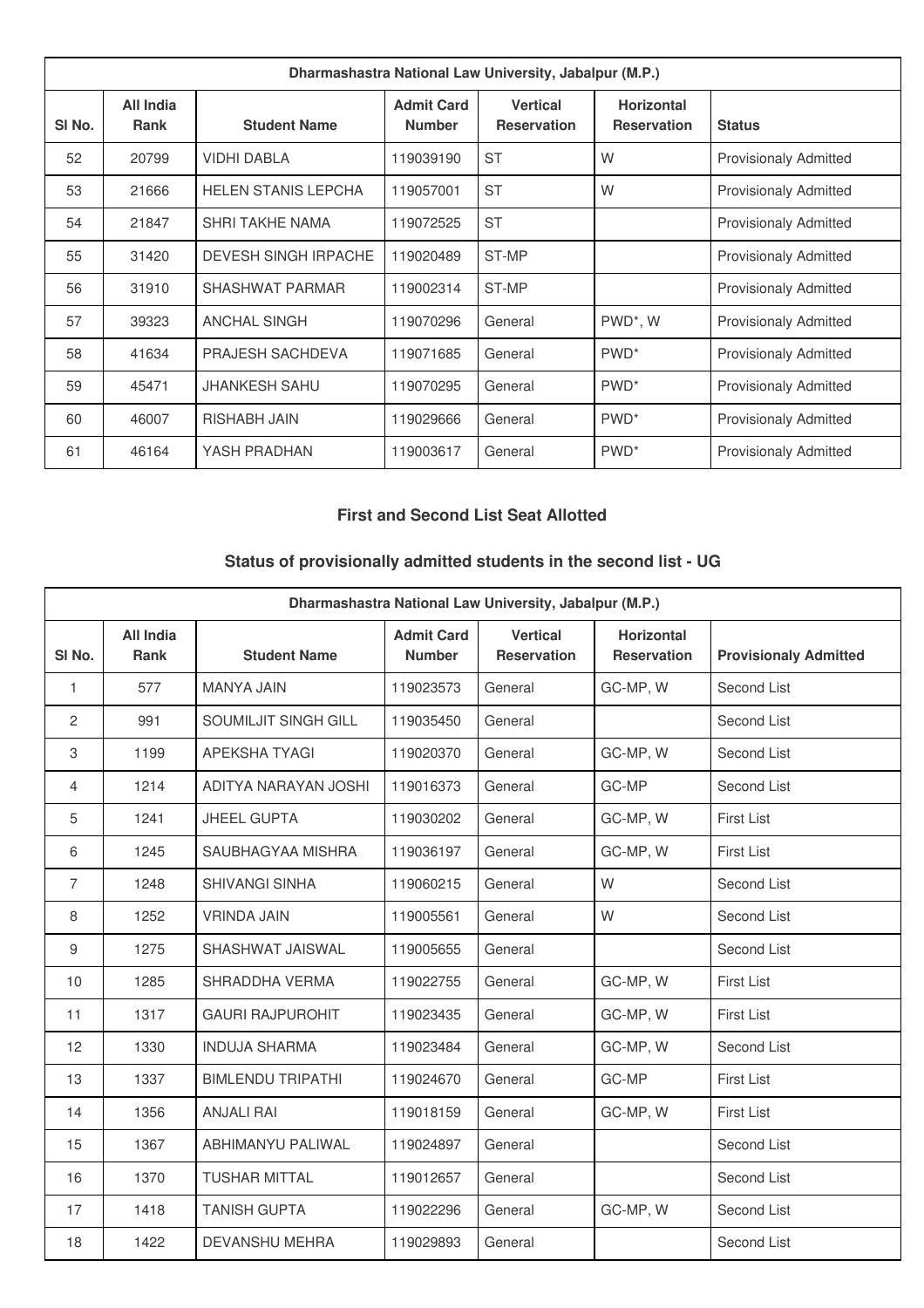| Dharmashastra National Law University, Jabalpur (M.P.) |                                 |                             |                                    |                                       |                                         |                              |
|--------------------------------------------------------|---------------------------------|-----------------------------|------------------------------------|---------------------------------------|-----------------------------------------|------------------------------|
| SI No.                                                 | <b>All India</b><br><b>Rank</b> | <b>Student Name</b>         | <b>Admit Card</b><br><b>Number</b> | <b>Vertical</b><br><b>Reservation</b> | <b>Horizontal</b><br><b>Reservation</b> | <b>Status</b>                |
| 52                                                     | 20799                           | <b>VIDHI DABLA</b>          | 119039190                          | <b>ST</b>                             | W                                       | <b>Provisionaly Admitted</b> |
| 53                                                     | 21666                           | <b>HELEN STANIS LEPCHA</b>  | 119057001                          | <b>ST</b>                             | W                                       | <b>Provisionaly Admitted</b> |
| 54                                                     | 21847                           | <b>SHRI TAKHE NAMA</b>      | 119072525                          | <b>ST</b>                             |                                         | <b>Provisionaly Admitted</b> |
| 55                                                     | 31420                           | <b>DEVESH SINGH IRPACHE</b> | 119020489                          | ST-MP                                 |                                         | <b>Provisionaly Admitted</b> |
| 56                                                     | 31910                           | <b>SHASHWAT PARMAR</b>      | 119002314                          | ST-MP                                 |                                         | <b>Provisionaly Admitted</b> |
| 57                                                     | 39323                           | <b>ANCHAL SINGH</b>         | 119070296                          | General                               | PWD*, W                                 | <b>Provisionaly Admitted</b> |
| 58                                                     | 41634                           | PRAJESH SACHDEVA            | 119071685                          | General                               | PWD <sup>*</sup>                        | <b>Provisionaly Admitted</b> |
| 59                                                     | 45471                           | JHANKESH SAHU               | 119070295                          | General                               | PWD <sup>*</sup>                        | <b>Provisionaly Admitted</b> |
| 60                                                     | 46007                           | <b>RISHABH JAIN</b>         | 119029666                          | General                               | PWD <sup>*</sup>                        | <b>Provisionaly Admitted</b> |
| 61                                                     | 46164                           | YASH PRADHAN                | 119003617                          | General                               | PWD <sup>*</sup>                        | <b>Provisionaly Admitted</b> |

# **First and Second List Seat Allotted**

# **Status of provisionally admitted students in the second list - UG**

| Dharmashastra National Law University, Jabalpur (M.P.) |                          |                          |                                    |                                       |                                         |                              |  |
|--------------------------------------------------------|--------------------------|--------------------------|------------------------------------|---------------------------------------|-----------------------------------------|------------------------------|--|
| SI No.                                                 | All India<br><b>Rank</b> | <b>Student Name</b>      | <b>Admit Card</b><br><b>Number</b> | <b>Vertical</b><br><b>Reservation</b> | <b>Horizontal</b><br><b>Reservation</b> | <b>Provisionaly Admitted</b> |  |
| 1                                                      | 577                      | <b>MANYA JAIN</b>        | 119023573                          | General                               | GC-MP, W                                | Second List                  |  |
| $\overline{c}$                                         | 991                      | SOUMILJIT SINGH GILL     | 119035450                          | General                               |                                         | Second List                  |  |
| 3                                                      | 1199                     | <b>APEKSHA TYAGI</b>     | 119020370                          | General                               | GC-MP, W                                | Second List                  |  |
| $\overline{4}$                                         | 1214                     | ADITYA NARAYAN JOSHI     | 119016373                          | General                               | GC-MP                                   | Second List                  |  |
| 5                                                      | 1241                     | <b>JHEEL GUPTA</b>       | 119030202                          | General                               | GC-MP, W                                | <b>First List</b>            |  |
| 6                                                      | 1245                     | SAUBHAGYAA MISHRA        | 119036197                          | General                               | GC-MP, W                                | <b>First List</b>            |  |
| 7                                                      | 1248                     | <b>SHIVANGI SINHA</b>    | 119060215                          | General                               | W                                       | Second List                  |  |
| 8                                                      | 1252                     | <b>VRINDA JAIN</b>       | 119005561                          | General                               | W                                       | Second List                  |  |
| 9                                                      | 1275                     | SHASHWAT JAISWAL         | 119005655                          | General                               |                                         | Second List                  |  |
| 10                                                     | 1285                     | SHRADDHA VERMA           | 119022755                          | General                               | GC-MP, W                                | <b>First List</b>            |  |
| 11                                                     | 1317                     | <b>GAURI RAJPUROHIT</b>  | 119023435                          | General                               | GC-MP, W                                | <b>First List</b>            |  |
| 12                                                     | 1330                     | <b>INDUJA SHARMA</b>     | 119023484                          | General                               | GC-MP, W                                | Second List                  |  |
| 13                                                     | 1337                     | <b>BIMLENDU TRIPATHI</b> | 119024670                          | General                               | GC-MP                                   | <b>First List</b>            |  |
| 14                                                     | 1356                     | <b>ANJALI RAI</b>        | 119018159                          | General                               | GC-MP, W                                | <b>First List</b>            |  |
| 15                                                     | 1367                     | ABHIMANYU PALIWAL        | 119024897                          | General                               |                                         | Second List                  |  |
| 16                                                     | 1370                     | <b>TUSHAR MITTAL</b>     | 119012657                          | General                               |                                         | Second List                  |  |
| 17                                                     | 1418                     | <b>TANISH GUPTA</b>      | 119022296                          | General                               | GC-MP, W                                | Second List                  |  |
| 18                                                     | 1422                     | <b>DEVANSHU MEHRA</b>    | 119029893                          | General                               |                                         | Second List                  |  |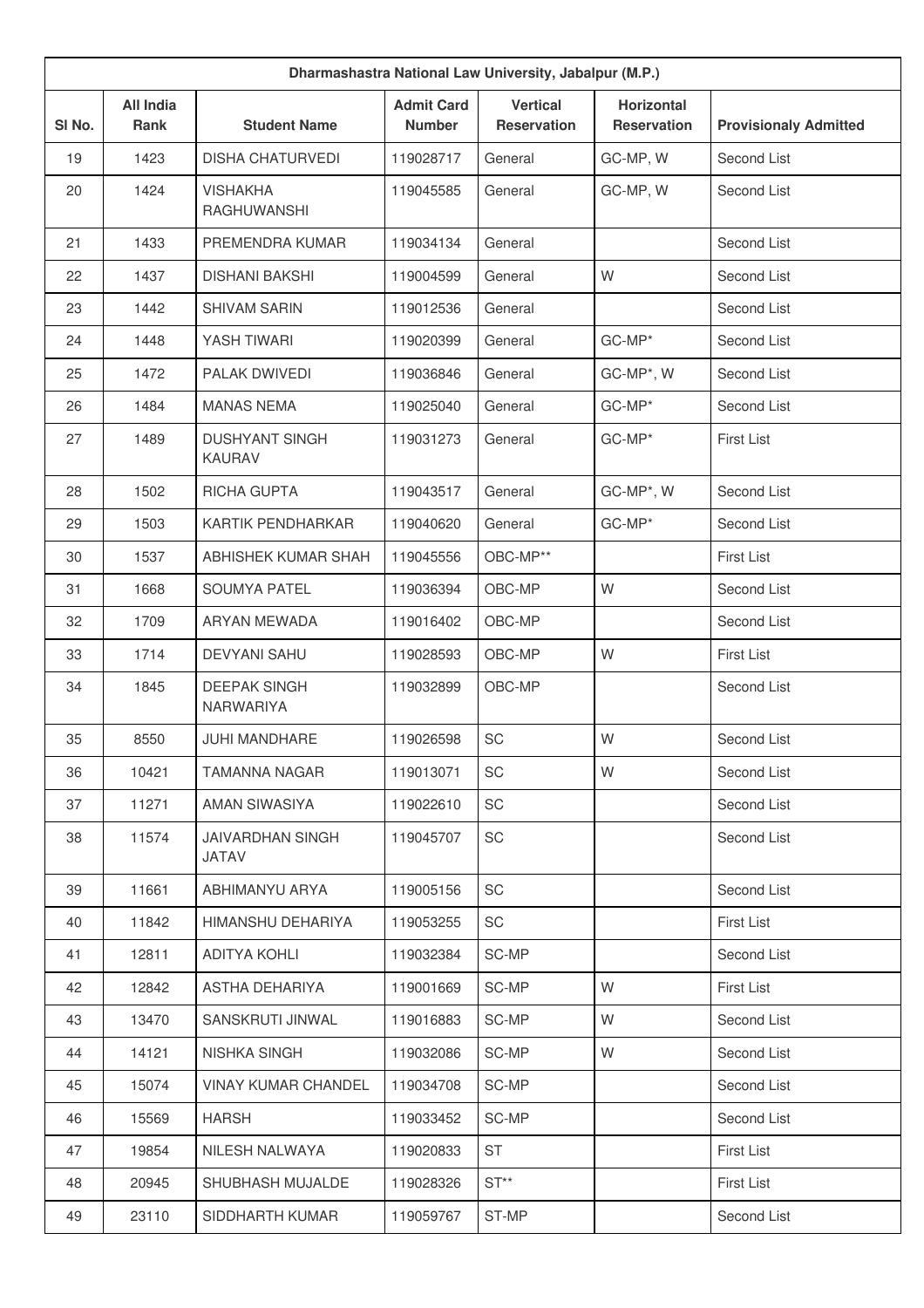| Dharmashastra National Law University, Jabalpur (M.P.) |                          |                                         |                                    |                                       |                                         |                              |
|--------------------------------------------------------|--------------------------|-----------------------------------------|------------------------------------|---------------------------------------|-----------------------------------------|------------------------------|
| SI No.                                                 | <b>All India</b><br>Rank | <b>Student Name</b>                     | <b>Admit Card</b><br><b>Number</b> | <b>Vertical</b><br><b>Reservation</b> | <b>Horizontal</b><br><b>Reservation</b> | <b>Provisionaly Admitted</b> |
| 19                                                     | 1423                     | <b>DISHA CHATURVEDI</b>                 | 119028717                          | General                               | GC-MP, W                                | Second List                  |
| 20                                                     | 1424                     | <b>VISHAKHA</b><br><b>RAGHUWANSHI</b>   | 119045585                          | General                               | GC-MP, W                                | Second List                  |
| 21                                                     | 1433                     | PREMENDRA KUMAR                         | 119034134                          | General                               |                                         | Second List                  |
| 22                                                     | 1437                     | <b>DISHANI BAKSHI</b>                   | 119004599                          | General                               | W                                       | Second List                  |
| 23                                                     | 1442                     | <b>SHIVAM SARIN</b>                     | 119012536                          | General                               |                                         | Second List                  |
| 24                                                     | 1448                     | YASH TIWARI                             | 119020399                          | General                               | GC-MP*                                  | Second List                  |
| 25                                                     | 1472                     | PALAK DWIVEDI                           | 119036846                          | General                               | GC-MP*, W                               | Second List                  |
| 26                                                     | 1484                     | <b>MANAS NEMA</b>                       | 119025040                          | General                               | GC-MP*                                  | Second List                  |
| 27                                                     | 1489                     | <b>DUSHYANT SINGH</b><br><b>KAURAV</b>  | 119031273                          | General                               | GC-MP*                                  | <b>First List</b>            |
| 28                                                     | 1502                     | <b>RICHA GUPTA</b>                      | 119043517                          | General                               | GC-MP*, W                               | Second List                  |
| 29                                                     | 1503                     | KARTIK PENDHARKAR                       | 119040620                          | General                               | GC-MP*                                  | Second List                  |
| 30                                                     | 1537                     | ABHISHEK KUMAR SHAH                     | 119045556                          | OBC-MP**                              |                                         | <b>First List</b>            |
| 31                                                     | 1668                     | <b>SOUMYA PATEL</b>                     | 119036394                          | OBC-MP                                | W                                       | Second List                  |
| 32                                                     | 1709                     | ARYAN MEWADA                            | 119016402                          | OBC-MP                                |                                         | Second List                  |
| 33                                                     | 1714                     | <b>DEVYANI SAHU</b>                     | 119028593                          | OBC-MP                                | W                                       | <b>First List</b>            |
| 34                                                     | 1845                     | <b>DEEPAK SINGH</b><br><b>NARWARIYA</b> | 119032899                          | OBC-MP                                |                                         | Second List                  |
| 35                                                     | 8550                     | <b>JUHI MANDHARE</b>                    | 119026598                          | SC                                    | W                                       | Second List                  |
| 36                                                     | 10421                    | <b>TAMANNA NAGAR</b>                    | 119013071                          | SC                                    | W                                       | Second List                  |
| 37                                                     | 11271                    | AMAN SIWASIYA                           | 119022610                          | SC                                    |                                         | Second List                  |
| 38                                                     | 11574                    | <b>JAIVARDHAN SINGH</b><br>JATAV        | 119045707                          | SC                                    |                                         | Second List                  |
| 39                                                     | 11661                    | ABHIMANYU ARYA                          | 119005156                          | SC                                    |                                         | Second List                  |
| 40                                                     | 11842                    | HIMANSHU DEHARIYA                       | 119053255                          | SC                                    |                                         | <b>First List</b>            |
| 41                                                     | 12811                    | <b>ADITYA KOHLI</b>                     | 119032384                          | SC-MP                                 |                                         | Second List                  |
| 42                                                     | 12842                    | ASTHA DEHARIYA                          | 119001669                          | SC-MP                                 | W                                       | <b>First List</b>            |
| 43                                                     | 13470                    | SANSKRUTI JINWAL                        | 119016883                          | SC-MP                                 | W                                       | Second List                  |
| 44                                                     | 14121                    | NISHKA SINGH                            | 119032086                          | SC-MP                                 | W                                       | Second List                  |
| 45                                                     | 15074                    | <b>VINAY KUMAR CHANDEL</b>              | 119034708                          | SC-MP                                 |                                         | Second List                  |
| 46                                                     | 15569                    | <b>HARSH</b>                            | 119033452                          | SC-MP                                 |                                         | Second List                  |
| 47                                                     | 19854                    | NILESH NALWAYA                          | 119020833                          | <b>ST</b>                             |                                         | <b>First List</b>            |
| 48                                                     | 20945                    | SHUBHASH MUJALDE                        | 119028326                          | $ST**$                                |                                         | <b>First List</b>            |
| 49                                                     | 23110                    | SIDDHARTH KUMAR                         | 119059767                          | ST-MP                                 |                                         | Second List                  |